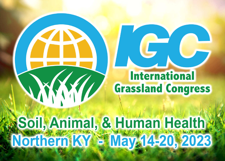# **International Grassland Congress**

# Soil, Animal, & Human Health<br>Northern KY = May 14-20, 2023

**KKI**